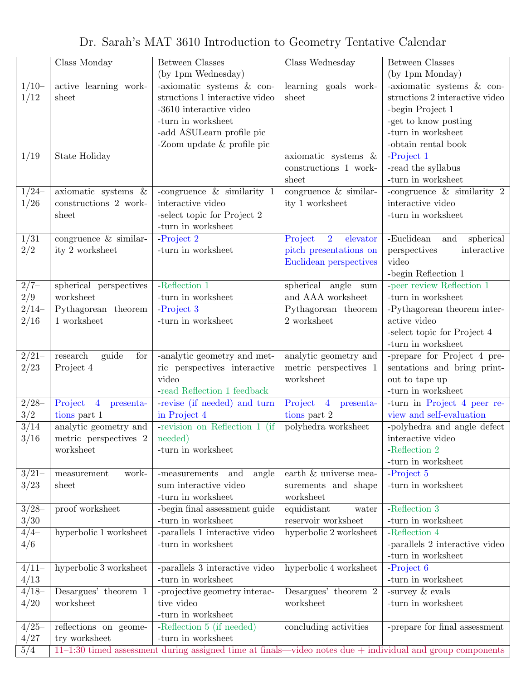|                | Class Monday                              | Between Classes                                                                                                                 | Class Wednesday                        | Between Classes                   |
|----------------|-------------------------------------------|---------------------------------------------------------------------------------------------------------------------------------|----------------------------------------|-----------------------------------|
|                |                                           | (by 1pm Wednesday)                                                                                                              |                                        | (by 1pm Monday)                   |
| $1/10-$        | active learning work-                     | -axiomatic systems & con-                                                                                                       | learning goals work-                   | -axiomatic systems & con-         |
| 1/12           | sheet                                     | structions 1 interactive video                                                                                                  | sheet                                  | structions 2 interactive video    |
|                |                                           | -3610 interactive video                                                                                                         |                                        | -begin Project 1                  |
|                |                                           | -turn in worksheet                                                                                                              |                                        | -get to know posting              |
|                |                                           | -add ASULearn profile pic                                                                                                       |                                        | -turn in worksheet                |
|                |                                           | -Zoom update $\&$ profile pic                                                                                                   |                                        | -obtain rental book               |
| 1/19           | State Holiday                             |                                                                                                                                 | axiomatic systems $\&$                 | -Project 1                        |
|                |                                           |                                                                                                                                 | constructions 1 work-                  | -read the syllabus                |
|                |                                           |                                                                                                                                 | sheet                                  | -turn in worksheet                |
| $1/24-$        | axiomatic systems $\&$                    | -congruence $\&$ similarity 1                                                                                                   | congruence $\&$ similar-               | -congruence $\&$ similarity 2     |
| 1/26           | constructions 2 work-                     | interactive video                                                                                                               | ity 1 worksheet                        | interactive video                 |
|                | sheet                                     | -select topic for Project 2                                                                                                     |                                        | -turn in worksheet                |
|                |                                           | -turn in worksheet                                                                                                              |                                        |                                   |
| $1/31-$        | congruence $&$ similar-                   | -Project 2                                                                                                                      | Project<br>$\overline{2}$<br>elevator  | -Euclidean<br>spherical<br>and    |
| 2/2            | ity 2 worksheet                           | -turn in worksheet                                                                                                              | pitch presentations on                 | perspectives<br>interactive       |
|                |                                           |                                                                                                                                 | Euclidean perspectives                 | video                             |
|                |                                           |                                                                                                                                 |                                        | -begin Reflection 1               |
| $2/7-$         | spherical perspectives                    | -Reflection 1                                                                                                                   | spherical angle sum                    | -peer review Reflection 1         |
| 2/9            | worksheet                                 | -turn in worksheet                                                                                                              | and AAA worksheet                      | -turn in worksheet                |
| $\frac{2}{14}$ | Pythagorean theorem                       | -Project 3                                                                                                                      | Pythagorean theorem                    | -Pythagorean theorem inter-       |
| 2/16           | 1 worksheet                               | -turn in worksheet                                                                                                              | 2 worksheet                            | active video                      |
|                |                                           |                                                                                                                                 |                                        | -select topic for Project 4       |
|                |                                           |                                                                                                                                 |                                        | -turn in worksheet                |
| $2/21-$        | $\operatorname{research}$<br>guide<br>for | -analytic geometry and met-                                                                                                     | analytic geometry and                  | -prepare for Project 4 pre-       |
| 2/23           | Project 4                                 | ric perspectives interactive                                                                                                    | metric perspectives 1                  | sentations and bring print-       |
|                |                                           | video                                                                                                                           | worksheet                              | out to tape up                    |
|                |                                           | -read Reflection 1 feedback                                                                                                     |                                        | -turn in worksheet                |
| $2/28-$        | Project<br>$\overline{4}$<br>presenta-    | -revise (if needed) and turn                                                                                                    | Project<br>$\overline{4}$<br>presenta- | -turn in Project 4 peer re-       |
| 3/2            | tions part 1                              | in Project 4                                                                                                                    | tions part 2                           | view and self-evaluation          |
| $3/14-$        | analytic geometry and                     | -revision on Reflection 1 (if                                                                                                   | polyhedra worksheet                    | -polyhedra and angle defect       |
| 3/16           | metric perspectives 2                     | needed)                                                                                                                         |                                        | interactive video                 |
|                | worksheet                                 | -turn in worksheet                                                                                                              |                                        | -Reflection 2                     |
|                |                                           |                                                                                                                                 |                                        | -turn in worksheet                |
| $3/21-$        | measurement<br>work-                      | -measurements<br>and<br>angle                                                                                                   | earth & universe mea-                  | -Project 5                        |
| 3/23           | sheet                                     | sum interactive video                                                                                                           | surements and shape                    | -turn in worksheet                |
|                |                                           | -turn in worksheet                                                                                                              | worksheet                              |                                   |
| $3/28-$        | proof worksheet                           | -begin final assessment guide                                                                                                   | equidistant<br>water                   | -Reflection 3                     |
| 3/30           |                                           | -turn in worksheet                                                                                                              | reservoir worksheet                    | -turn in worksheet                |
| $4/4-$         | hyperbolic 1 worksheet                    | -parallels 1 interactive video                                                                                                  | hyperbolic 2 worksheet                 | $\overline{-\text{Reflection}}$ 4 |
| 4/6            |                                           | -turn in worksheet                                                                                                              |                                        | -parallels 2 interactive video    |
|                |                                           |                                                                                                                                 |                                        | -turn in worksheet                |
| $4/11-$        | hyperbolic 3 worksheet                    | -parallels 3 interactive video                                                                                                  | hyperbolic 4 worksheet                 | $-Project 6$                      |
| 4/13           |                                           | -turn in worksheet                                                                                                              |                                        | -turn in worksheet                |
| $4/18-$        | Desargues' theorem 1                      | -projective geometry interac-                                                                                                   | Desargues' theorem 2                   | -survey $\&$ evals                |
| 4/20           | worksheet                                 | tive video                                                                                                                      | worksheet                              | -turn in worksheet                |
|                |                                           | -turn in worksheet                                                                                                              |                                        |                                   |
| $4/25-$        | reflections on geome-                     | -Reflection 5 (if needed)                                                                                                       | concluding activities                  | -prepare for final assessment     |
| $4/27\,$       | try worksheet                             | -turn in worksheet<br>11-1:30 timed assessment during assigned time at finals—video notes due + individual and group components |                                        |                                   |
| 5/4            |                                           |                                                                                                                                 |                                        |                                   |

Dr. Sarah's MAT 3610 Introduction to Geometry Tentative Calendar